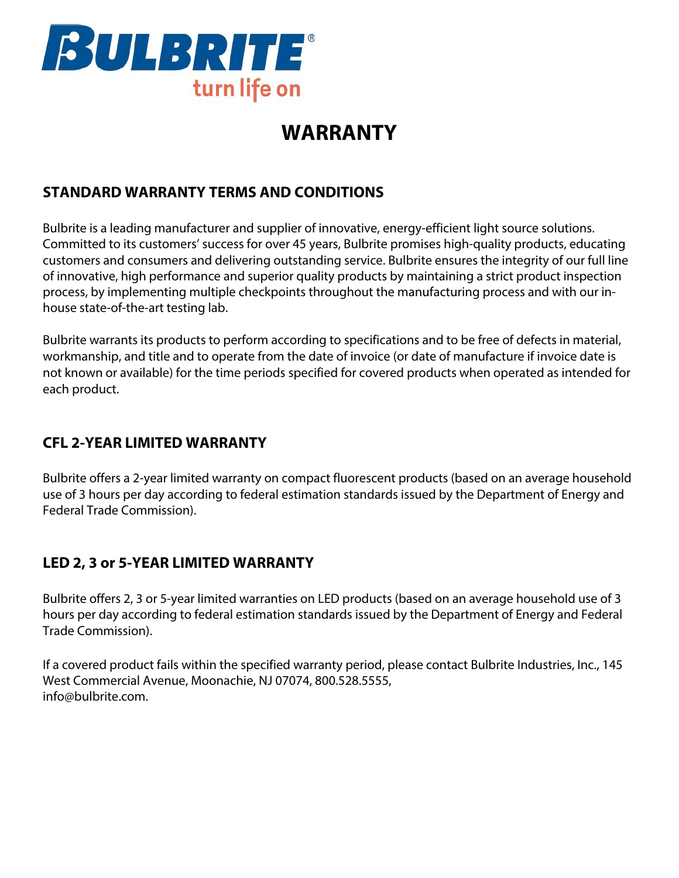

# **WARRANTY**

## **STANDARD WARRANTY TERMS AND CONDITIONS**

Bulbrite is a leading manufacturer and supplier of innovative, energy-efficient light source solutions. Committed to its customers' success for over 45 years, Bulbrite promises high-quality products, educating customers and consumers and delivering outstanding service. Bulbrite ensures the integrity of our full line of innovative, high performance and superior quality products by maintaining a strict product inspection process, by implementing multiple checkpoints throughout the manufacturing process and with our inhouse state-of-the-art testing lab.

Bulbrite warrants its products to perform according to specifications and to be free of defects in material, workmanship, and title and to operate from the date of invoice (or date of manufacture if invoice date is not known or available) for the time periods specified for covered products when operated as intended for each product.

## **CFL 2-YEAR LIMITED WARRANTY**

Bulbrite offers a 2-year limited warranty on compact fluorescent products (based on an average household use of 3 hours per day according to federal estimation standards issued by the Department of Energy and Federal Trade Commission).

#### **LED 2, 3 or 5-YEAR LIMITED WARRANTY**

Bulbrite offers 2, 3 or 5-year limited warranties on LED products (based on an average household use of 3 hours per day according to federal estimation standards issued by the Department of Energy and Federal Trade Commission).

If a covered product fails within the specified warranty period, please contact Bulbrite Industries, Inc., 145 West Commercial Avenue, Moonachie, NJ 07074, 800.528.5555, info@bulbrite.com.